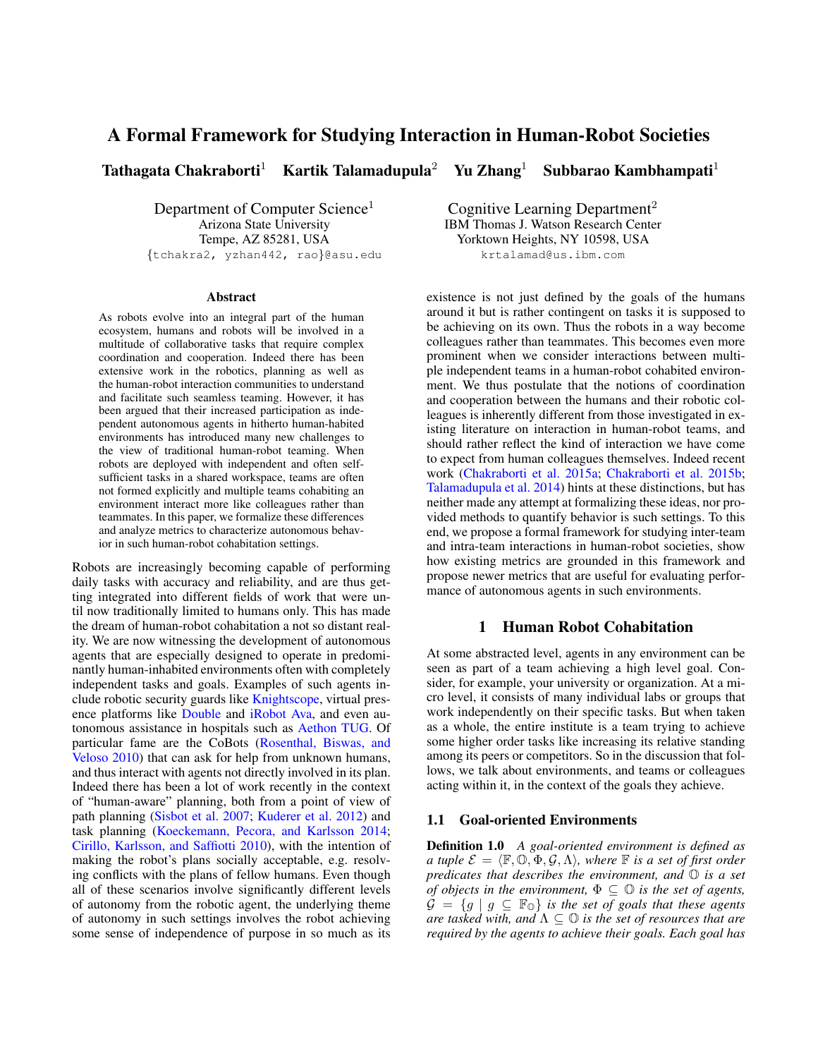# A Formal Framework for Studying Interaction in Human-Robot Societies

Tathagata Chakraborti<sup>1</sup> Kartik Talamadupula<sup>2</sup> Yu Zhang<sup>1</sup> Subbarao Kambhampati<sup>1</sup>

Department of Computer Science<sup>1</sup> Arizona State University Tempe, AZ 85281, USA {tchakra2, yzhan442, rao}@asu.edu

#### **Abstract**

As robots evolve into an integral part of the human ecosystem, humans and robots will be involved in a multitude of collaborative tasks that require complex coordination and cooperation. Indeed there has been extensive work in the robotics, planning as well as the human-robot interaction communities to understand and facilitate such seamless teaming. However, it has been argued that their increased participation as independent autonomous agents in hitherto human-habited environments has introduced many new challenges to the view of traditional human-robot teaming. When robots are deployed with independent and often selfsufficient tasks in a shared workspace, teams are often not formed explicitly and multiple teams cohabiting an environment interact more like colleagues rather than teammates. In this paper, we formalize these differences and analyze metrics to characterize autonomous behavior in such human-robot cohabitation settings.

Robots are increasingly becoming capable of performing daily tasks with accuracy and reliability, and are thus getting integrated into different fields of work that were until now traditionally limited to humans only. This has made the dream of human-robot cohabitation a not so distant reality. We are now witnessing the development of autonomous agents that are especially designed to operate in predominantly human-inhabited environments often with completely independent tasks and goals. Examples of such agents include robotic security guards like [Knightscope,](#page-4-0) virtual presence platforms like [Double](#page-4-1) and [iRobot Ava,](#page-4-2) and even autonomous assistance in hospitals such as [Aethon TUG.](#page-4-3) Of particular fame are the CoBots [\(Rosenthal, Biswas, and](#page-4-4) [Veloso 2010\)](#page-4-4) that can ask for help from unknown humans, and thus interact with agents not directly involved in its plan. Indeed there has been a lot of work recently in the context of "human-aware" planning, both from a point of view of path planning [\(Sisbot et al. 2007;](#page-4-5) [Kuderer et al. 2012\)](#page-4-6) and task planning [\(Koeckemann, Pecora, and Karlsson 2014;](#page-4-7) [Cirillo, Karlsson, and Saffiotti 2010\)](#page-4-8), with the intention of making the robot's plans socially acceptable, e.g. resolving conflicts with the plans of fellow humans. Even though all of these scenarios involve significantly different levels of autonomy from the robotic agent, the underlying theme of autonomy in such settings involves the robot achieving some sense of independence of purpose in so much as its

Cognitive Learning Department<sup>2</sup> IBM Thomas J. Watson Research Center Yorktown Heights, NY 10598, USA krtalamad@us.ibm.com

existence is not just defined by the goals of the humans around it but is rather contingent on tasks it is supposed to be achieving on its own. Thus the robots in a way become colleagues rather than teammates. This becomes even more prominent when we consider interactions between multiple independent teams in a human-robot cohabited environment. We thus postulate that the notions of coordination and cooperation between the humans and their robotic colleagues is inherently different from those investigated in existing literature on interaction in human-robot teams, and should rather reflect the kind of interaction we have come to expect from human colleagues themselves. Indeed recent work [\(Chakraborti et al. 2015a;](#page-4-9) [Chakraborti et al. 2015b;](#page-4-10) [Talamadupula et al. 2014\)](#page-4-11) hints at these distinctions, but has neither made any attempt at formalizing these ideas, nor provided methods to quantify behavior is such settings. To this end, we propose a formal framework for studying inter-team and intra-team interactions in human-robot societies, show how existing metrics are grounded in this framework and propose newer metrics that are useful for evaluating performance of autonomous agents in such environments.

### 1 Human Robot Cohabitation

At some abstracted level, agents in any environment can be seen as part of a team achieving a high level goal. Consider, for example, your university or organization. At a micro level, it consists of many individual labs or groups that work independently on their specific tasks. But when taken as a whole, the entire institute is a team trying to achieve some higher order tasks like increasing its relative standing among its peers or competitors. So in the discussion that follows, we talk about environments, and teams or colleagues acting within it, in the context of the goals they achieve.

#### 1.1 Goal-oriented Environments

Definition 1.0 *A goal-oriented environment is defined as a tuple*  $\mathcal{E} = \langle \mathbb{F}, \mathbb{O}, \Phi, \mathcal{G}, \Lambda \rangle$ , where  $\mathbb{F}$  *is a set of first order predicates that describes the environment, and* O *is a set of objects in the environment,*  $\Phi \subseteq \mathbb{O}$  *is the set of agents,*  $\mathcal{G} = \{g \mid g \subseteq \mathbb{F}_{\mathbb{Q}}\}$  *is the set of goals that these agents are tasked with, and* Λ ⊆ O *is the set of resources that are required by the agents to achieve their goals. Each goal has*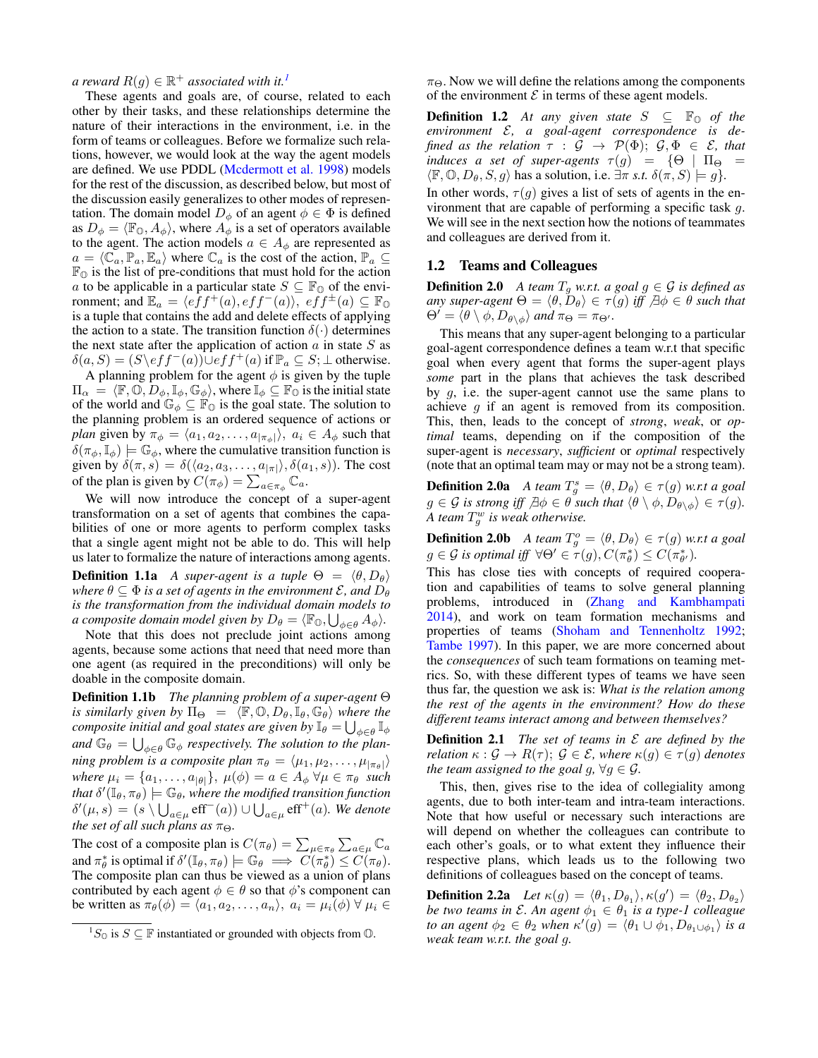$a$  reward  $R(g) \in \mathbb{R}^+$  associated with it.<sup>[1](#page-1-0)</sup>

These agents and goals are, of course, related to each other by their tasks, and these relationships determine the nature of their interactions in the environment, i.e. in the form of teams or colleagues. Before we formalize such relations, however, we would look at the way the agent models are defined. We use PDDL [\(Mcdermott et al. 1998\)](#page-4-12) models for the rest of the discussion, as described below, but most of the discussion easily generalizes to other modes of representation. The domain model  $D_{\phi}$  of an agent  $\phi \in \Phi$  is defined as  $D_{\phi} = \langle \mathbb{F}_{\mathbb{O}}, A_{\phi} \rangle$ , where  $A_{\phi}$  is a set of operators available to the agent. The action models  $a \in A_{\phi}$  are represented as  $a = \langle \mathbb{C}_a, \mathbb{P}_a, \mathbb{E}_a \rangle$  where  $\mathbb{C}_a$  is the cost of the action,  $\mathbb{P}_a \subseteq$  $\mathbb{F}_{\mathbb{O}}$  is the list of pre-conditions that must hold for the action a to be applicable in a particular state  $S \subseteq \mathbb{F}_{\mathbb{O}}$  of the environment; and  $\mathbb{E}_a = \langle e\bar{f}f^+(a), e\bar{f}f^-(a)\rangle, e\bar{f}f^\pm(a) \subseteq \mathbb{F}_0$ is a tuple that contains the add and delete effects of applying the action to a state. The transition function  $\delta(\cdot)$  determines the next state after the application of action  $a$  in state  $S$  as  $\delta(a, S) = (S \setminus eff^{-}(a)) \cup eff^{+}(a)$  if  $\mathbb{P}_{a} \subseteq S$ ;  $\perp$  otherwise. A planning problem for the agent  $\phi$  is given by the tuple

 $\Pi_{\alpha} = \langle \mathbb{F}, \mathbb{O}, D_{\phi}, \mathbb{I}_{\phi}, \mathbb{G}_{\phi} \rangle$ , where  $\mathbb{I}_{\phi} \subseteq \mathbb{F}_{\mathbb{O}}$  is the initial state of the world and  $\mathbb{G}_{\phi} \subseteq \mathbb{F}_{\mathbb{O}}$  is the goal state. The solution to the planning problem is an ordered sequence of actions or *plan* given by  $\pi_{\phi} = \langle a_1, a_2, \dots, a_{|\pi_{\phi}|} \rangle$ ,  $a_i \in A_{\phi}$  such that  $\delta(\pi_{\phi}, \mathbb{I}_{\phi}) \models \mathbb{G}_{\phi}$ , where the cumulative transition function is given by  $\delta(\pi, s) = \delta(\langle a_2, a_3, \dots, a_{|\pi|} \rangle, \delta(a_1, s))$ . The cost of the plan is given by  $C(\pi_{\phi}) = \sum_{a \in \pi_{\phi}} \mathbb{C}_a$ .

We will now introduce the concept of a super-agent transformation on a set of agents that combines the capabilities of one or more agents to perform complex tasks that a single agent might not be able to do. This will help us later to formalize the nature of interactions among agents.

**Definition 1.1a** *A super-agent is a tuple*  $\Theta = \langle \theta, D_{\theta} \rangle$ *where*  $\theta \subseteq \Phi$  *is a set of agents in the environment*  $\mathcal{E}$ *, and*  $D_{\theta}$ *is the transformation from the individual domain models to a composite domain model given by*  $D_{\theta} = \langle \mathbb{F}_0, \bigcup_{\phi \in \theta} A_{\phi} \rangle$ .

Note that this does not preclude joint actions among agents, because some actions that need that need more than one agent (as required in the preconditions) will only be doable in the composite domain.

Definition 1.1b *The planning problem of a super-agent* Θ *is similarly given by*  $\Pi_{\Theta} = \langle \mathbb{F}, \mathbb{O}, D_{\theta}, \mathbb{I}_{\theta}, \mathbb{G}_{\theta} \rangle$  *where the composite initial and goal states are given by*  $\mathbb{I}_{\theta} = \bigcup_{\phi \in \theta} \mathbb{I}_{\phi}$ and  $\mathbb{G}_{\theta} = \bigcup_{\phi \in \theta} \mathbb{G}_{\phi}$  respectively. The solution to the plan*ning problem is a composite plan*  $\pi_{\theta} = \langle \mu_1, \mu_2, \dots, \mu_{|\pi_{\theta}|} \rangle$ *where*  $\mu_i = \{a_1, \ldots, a_{|\theta|}\}, \mu(\phi) = a \in A_{\phi} \,\forall \mu \in \pi_{\theta} \text{ such}$ that  $\delta'(\mathbb{I}_{\theta},\pi_{\theta})\models \mathbb{G}_{\theta}$ , where the modified transition function  $\delta'(\mu, s) = (s \setminus \bigcup_{a \in \mu} \text{eff}^-(a)) \cup \bigcup_{a \in \mu} \text{eff}^+(a)$ *. We denote the set of all such plans as*  $\pi_{\Theta}$ *.* 

The cost of a composite plan is  $C(\pi_{\theta}) = \sum_{\mu \in \pi_{\theta}} \sum_{a \in \mu} \mathbb{C}_a$ and  $\pi^*_{\theta}$  is optimal if  $\delta'(\mathbb{I}_{\theta}, \pi_{\theta}) \models \mathbb{G}_{\theta} \implies C(\pi^*_{\theta}) \leq C(\pi_{\theta}).$ The composite plan can thus be viewed as a union of plans contributed by each agent  $\phi \in \theta$  so that  $\phi$ 's component can be written as  $\pi_{\theta}(\phi) = \langle a_1, a_2, \dots, a_n \rangle$ ,  $a_i = \mu_i(\phi) \ \forall \ \mu_i \in$ 

 $\pi_{\Theta}$ . Now we will define the relations among the components of the environment  $\mathcal E$  in terms of these agent models.

**Definition 1.2** *At any given state*  $S \subseteq \mathbb{F}_{\mathbb{O}}$  *of the environment* E*, a goal-agent correspondence is defined as the relation*  $\tau : \mathcal{G} \to \mathcal{P}(\Phi)$ ,  $\mathcal{G}, \Phi \in \mathcal{E}$ , that *induces a set of super-agents*  $\tau(g) = \{ \Theta \mid \Pi_{\Theta} =$  $\langle \mathbb{F}, \mathbb{O}, D_{\theta}, S, g \rangle$  has a solution, i.e.  $\exists \pi \, s.t. \, \delta(\pi, S) \models g$ *}.* 

In other words,  $\tau(q)$  gives a list of sets of agents in the environment that are capable of performing a specific task g. We will see in the next section how the notions of teammates and colleagues are derived from it.

#### 1.2 Teams and Colleagues

**Definition 2.0** *A team*  $T_g$  *w.r.t. a goal*  $g \in \mathcal{G}$  *is defined as*  $\langle \textit{any super-agent} \; \Theta = \langle \theta, D_{\theta} \rangle \in \tau(g) \; \textit{iff} \; \not\exists \phi \in \theta \; \textit{such that}$  $\Theta' = \langle \theta \setminus \phi, D_{\theta \setminus \phi} \rangle$  and  $\pi_{\Theta} = \pi_{\Theta'}$ .

This means that any super-agent belonging to a particular goal-agent correspondence defines a team w.r.t that specific goal when every agent that forms the super-agent plays *some* part in the plans that achieves the task described by  $g$ , i.e. the super-agent cannot use the same plans to achieve g if an agent is removed from its composition. This, then, leads to the concept of *strong*, *weak*, or *optimal* teams, depending on if the composition of the super-agent is *necessary*, *sufficient* or *optimal* respectively (note that an optimal team may or may not be a strong team).

**Definition 2.0a** *A team*  $T_g^s = \langle \theta, D_\theta \rangle \in \tau(g)$  *w.r.t a goal*  $g \in \mathcal{G}$  is strong iff  $\exists \phi \in \theta$  such that  $\langle \theta \setminus \phi, D_{\theta \setminus \phi} \rangle \in \tau(g)$ . *A team*  $T_g^w$  is weak otherwise.

**Definition 2.0b** A team  $T_g^o = \langle \theta, D_\theta \rangle \in \tau(g)$  *w.r.t a goal*  $g \in \mathcal{G}$  is optimal iff  $\forall \Theta' \in \tau(g), C(\pi_{\theta}^*) \leq C(\pi_{\theta'}^*)$ .

This has close ties with concepts of required cooperation and capabilities of teams to solve general planning problems, introduced in [\(Zhang and Kambhampati](#page-4-13) [2014\)](#page-4-13), and work on team formation mechanisms and properties of teams [\(Shoham and Tennenholtz 1992;](#page-4-14) [Tambe 1997\)](#page-4-15). In this paper, we are more concerned about the *consequences* of such team formations on teaming metrics. So, with these different types of teams we have seen thus far, the question we ask is: *What is the relation among the rest of the agents in the environment? How do these different teams interact among and between themselves?*

Definition 2.1 *The set of teams in* E *are defined by the relation*  $\kappa : \mathcal{G} \to R(\tau); \, \mathcal{G} \in \mathcal{E}$ , where  $\kappa(g) \in \tau(g)$  *denotes the team assigned to the goal g,*  $\forall g \in \mathcal{G}$ *.* 

This, then, gives rise to the idea of collegiality among agents, due to both inter-team and intra-team interactions. Note that how useful or necessary such interactions are will depend on whether the colleagues can contribute to each other's goals, or to what extent they influence their respective plans, which leads us to the following two definitions of colleagues based on the concept of teams.

**Definition 2.2a** *Let*  $\kappa(g) = \langle \theta_1, D_{\theta_1} \rangle, \kappa(g') = \langle \theta_2, D_{\theta_2} \rangle$ *be two teams in*  $\mathcal{E}$ *. An agent*  $\phi_1 \in \theta_1$  *is a type-1 colleague to an agent*  $\phi_2 \in \theta_2$  *when*  $\kappa'(g) = \langle \theta_1 \cup \phi_1, D_{\theta_1 \cup \phi_1} \rangle$  *is a weak team w.r.t. the goal* g*.*

<span id="page-1-0"></span> ${}^{1}S_{\mathbb{O}}$  is  $S \subseteq \mathbb{F}$  instantiated or grounded with objects from  $\mathbb{O}$ .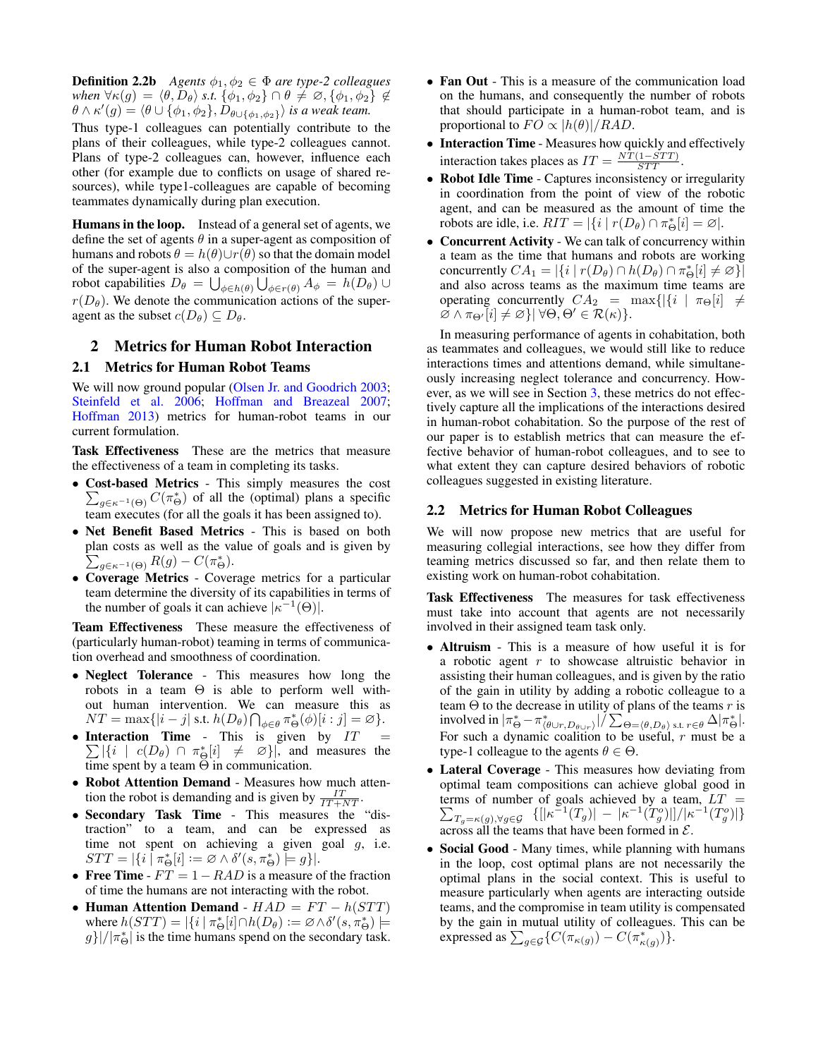**Definition 2.2b** *Agents*  $\phi_1, \phi_2 \in \Phi$  *are type-2 colleagues when*  $\forall \kappa(g) = \langle \theta, D_{\theta} \rangle$  *s.t.*  $\{\phi_1, \phi_2\} \cap \theta \neq \emptyset$ ,  $\{\phi_1, \phi_2\} \notin$  $\theta\wedge\kappa'(g)=\langle\theta\cup\{\phi_1,\phi_2\},\tilde{D}_{\theta\cup\{\phi_1,\phi_2\}}\rangle$  is a weak team.

Thus type-1 colleagues can potentially contribute to the plans of their colleagues, while type-2 colleagues cannot. Plans of type-2 colleagues can, however, influence each other (for example due to conflicts on usage of shared resources), while type1-colleagues are capable of becoming teammates dynamically during plan execution.

Humans in the loop. Instead of a general set of agents, we define the set of agents  $\theta$  in a super-agent as composition of humans and robots  $\theta = h(\theta) \cup r(\theta)$  so that the domain model of the super-agent is also a composition of the human and robot capabilities  $D_{\theta} = \bigcup_{\phi \in h(\theta)} \bigcup_{\phi \in r(\theta)} A_{\phi} = h(D_{\theta}) \cup$  $r(D_\theta)$ . We denote the communication actions of the superagent as the subset  $c(D_\theta) \subseteq D_\theta$ .

## 2 Metrics for Human Robot Interaction

### 2.1 Metrics for Human Robot Teams

We will now ground popular [\(Olsen Jr. and Goodrich 2003;](#page-4-16) [Steinfeld et al. 2006;](#page-4-17) [Hoffman and Breazeal 2007;](#page-4-18) [Hoffman 2013\)](#page-4-19) metrics for human-robot teams in our current formulation.

Task Effectiveness These are the metrics that measure the effectiveness of a team in completing its tasks.

- Cost-based Metrics This simply measures the cost  $\sum_{g \in \kappa^{-1}(\Theta)} C(\pi_{\Theta}^*)$  of all the (optimal) plans a specific team executes (for all the goals it has been assigned to).
- Net Benefit Based Metrics This is based on both plan costs as well as the value of goals and is given by  $\sum_{g \in \kappa^{-1}(\Theta)} R(g) - C(\pi_{\Theta}^*).$
- Coverage Metrics Coverage metrics for a particular team determine the diversity of its capabilities in terms of the number of goals it can achieve  $|\kappa^{-1}(\Theta)|$ .

Team Effectiveness These measure the effectiveness of (particularly human-robot) teaming in terms of communication overhead and smoothness of coordination.

- Neglect Tolerance This measures how long the robots in a team  $\Theta$  is able to perform well without human intervention. We can measure this as  $NT = \max\{|i - j| \text{ s.t. } h(D_{\theta}) \bigcap_{\phi \in \theta} \pi_{\Theta}^*(\phi)[i : j] = \varnothing\}.$
- Interaction Time This is given by  $IT =$  $\sum |\{i \mid c(D_{\theta}) \cap \pi_{\Theta}^*[i] \neq \emptyset\}|$ , and measures the time spent by a team  $\Theta$  in communication.
- Robot Attention Demand Measures how much attention the robot is demanding and is given by  $\frac{IT}{IT+NT}$ .
- Secondary Task Time This measures the "distraction" to a team, and can be expressed as time not spent on achieving a given goal g, i.e.  $STT = |\{i \mid \pi_{\Theta}^*[i] := \varnothing \wedge \delta'(s, \pi_{\Theta}^*) \models g\}|.$
- Free Time  $FT = 1 RAD$  is a measure of the fraction of time the humans are not interacting with the robot.
- Human Attention Demand  $HAD = FT h(STT)$ where  $h(STT) = |\{i \mid \pi_{\Theta}^*[i] \cap h(D_{\theta}) := \emptyset \wedge \delta'(s, \pi_{\Theta}^*)| \neq 0\}$  $g\}$ |/ $|\pi^*_{\Theta}|$  is the time humans spend on the secondary task.
- Fan Out This is a measure of the communication load on the humans, and consequently the number of robots that should participate in a human-robot team, and is proportional to  $FO \propto |h(\theta)|/RAD$ .
- Interaction Time Measures how quickly and effectively interaction takes places as  $IT = \frac{NT(1 - STT)}{STT}$ .
- Robot Idle Time Captures inconsistency or irregularity in coordination from the point of view of the robotic agent, and can be measured as the amount of time the robots are idle, i.e.  $RIT = |\{i \mid r(D_{\theta}) \cap \pi_{\Theta}^*[i] = \emptyset|$ .
- Concurrent Activity We can talk of concurrency within a team as the time that humans and robots are working concurrently  $CA_1 = |\{i \mid r(D_\theta) \cap h(D_\theta) \cap \pi_{\Theta}^*[i] \neq \varnothing\}|$ and also across teams as the maximum time teams are operating concurrently  $CA_2 = \max\{|\{i \mid \pi_{\Theta}[i] \neq \emptyset\}|$  $\varnothing \wedge \pi_{\Theta'}[i] \neq \varnothing \, \forall \Theta, \Theta' \in \mathcal{R}(\kappa) \}.$

In measuring performance of agents in cohabitation, both as teammates and colleagues, we would still like to reduce interactions times and attentions demand, while simultaneously increasing neglect tolerance and concurrency. However, as we will see in Section [3,](#page-3-0) these metrics do not effectively capture all the implications of the interactions desired in human-robot cohabitation. So the purpose of the rest of our paper is to establish metrics that can measure the effective behavior of human-robot colleagues, and to see to what extent they can capture desired behaviors of robotic colleagues suggested in existing literature.

#### 2.2 Metrics for Human Robot Colleagues

We will now propose new metrics that are useful for measuring collegial interactions, see how they differ from teaming metrics discussed so far, and then relate them to existing work on human-robot cohabitation.

Task Effectiveness The measures for task effectiveness must take into account that agents are not necessarily involved in their assigned team task only.

- Altruism This is a measure of how useful it is for a robotic agent  $r$  to showcase altruistic behavior in assisting their human colleagues, and is given by the ratio of the gain in utility by adding a robotic colleague to a team  $\Theta$  to the decrease in utility of plans of the teams r is involved in  $|\pi_{\Theta}^* - \pi_{\langle \theta \cup r, D_{\theta \cup r} \rangle}^*|/ \sum_{\Theta = \langle \theta, D_{\theta} \rangle} \text{ s.t. } r \in \theta \Delta |\pi_{\Theta}^*|$ . For such a dynamic coalition to be useful,  $r$  must be a type-1 colleague to the agents  $\theta \in \Theta$ .
- Lateral Coverage This measures how deviating from optimal team compositions can achieve global good in terms of number of goals achieved by a team, P  $LT =$  $T_{g=\kappa(g), \forall g\in\mathcal{G}}\;\; \{[|\kappa^{-1}(T_g)|\,-\,|\kappa^{-1}(T_g^o)|] / |\kappa^{-1}(T_g^o)|\}$ across all the teams that have been formed in  $\mathcal{E}$ .
- Social Good Many times, while planning with humans in the loop, cost optimal plans are not necessarily the optimal plans in the social context. This is useful to measure particularly when agents are interacting outside teams, and the compromise in team utility is compensated by the gain in mutual utility of colleagues. This can be expressed as  $\sum_{g \in \mathcal{G}} \{ C(\pi_{\kappa(g)}) - C(\pi_{\kappa(g)}^*) \}.$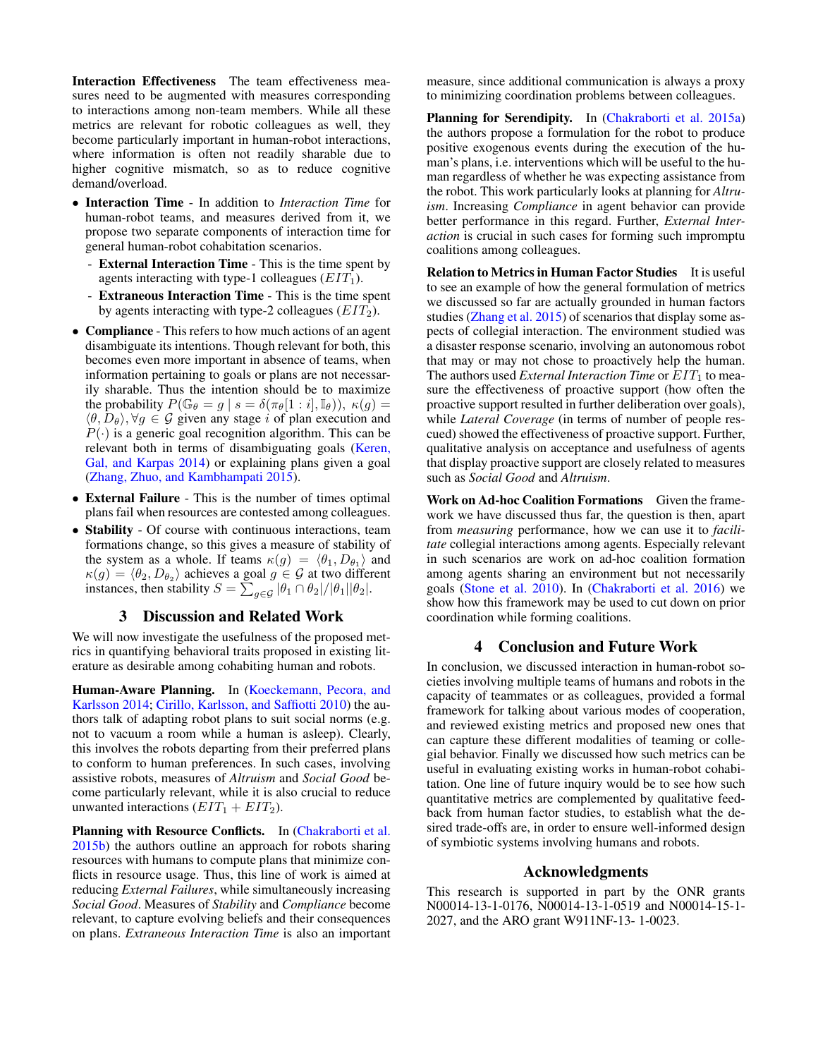Interaction Effectiveness The team effectiveness measures need to be augmented with measures corresponding to interactions among non-team members. While all these metrics are relevant for robotic colleagues as well, they become particularly important in human-robot interactions, where information is often not readily sharable due to higher cognitive mismatch, so as to reduce cognitive demand/overload.

- Interaction Time In addition to *Interaction Time* for human-robot teams, and measures derived from it, we propose two separate components of interaction time for general human-robot cohabitation scenarios.
	- External Interaction Time This is the time spent by agents interacting with type-1 colleagues  $(EIT_1)$ .
	- Extraneous Interaction Time This is the time spent by agents interacting with type-2 colleagues  $(EIT_2)$ .
- Compliance This refers to how much actions of an agent disambiguate its intentions. Though relevant for both, this becomes even more important in absence of teams, when information pertaining to goals or plans are not necessarily sharable. Thus the intention should be to maximize the probability  $P(\mathbb{G}_{\theta} = g \mid s = \delta(\pi_{\theta}[1 : i], \mathbb{I}_{\theta}))$ ,  $\kappa(g) =$  $\langle \theta, D_{\theta} \rangle$ ,  $\forall g \in \mathcal{G}$  given any stage i of plan execution and  $P(\cdot)$  is a generic goal recognition algorithm. This can be relevant both in terms of disambiguating goals [\(Keren,](#page-4-20) [Gal, and Karpas 2014\)](#page-4-20) or explaining plans given a goal [\(Zhang, Zhuo, and Kambhampati 2015\)](#page-4-21).
- External Failure This is the number of times optimal plans fail when resources are contested among colleagues.
- Stability Of course with continuous interactions, team formations change, so this gives a measure of stability of the system as a whole. If teams  $\kappa(g) = \langle \theta_1, D_{\theta_1} \rangle$  and  $\kappa(g) = \langle \theta_2, D_{\theta_2} \rangle$  achieves a goal  $g \in \mathcal{G}$  at two different instances, then stability  $S = \sum_{g \in \mathcal{G}} |\theta_1 \cap \theta_2|/|\theta_1||\theta_2|$ .

# 3 Discussion and Related Work

<span id="page-3-0"></span>We will now investigate the usefulness of the proposed metrics in quantifying behavioral traits proposed in existing literature as desirable among cohabiting human and robots.

Human-Aware Planning. In [\(Koeckemann, Pecora, and](#page-4-7) [Karlsson 2014;](#page-4-7) [Cirillo, Karlsson, and Saffiotti 2010\)](#page-4-8) the authors talk of adapting robot plans to suit social norms (e.g. not to vacuum a room while a human is asleep). Clearly, this involves the robots departing from their preferred plans to conform to human preferences. In such cases, involving assistive robots, measures of *Altruism* and *Social Good* become particularly relevant, while it is also crucial to reduce unwanted interactions  $(EIT_1 + EIT_2)$ .

Planning with Resource Conflicts. In [\(Chakraborti et al.](#page-4-10) [2015b\)](#page-4-10) the authors outline an approach for robots sharing resources with humans to compute plans that minimize conflicts in resource usage. Thus, this line of work is aimed at reducing *External Failures*, while simultaneously increasing *Social Good*. Measures of *Stability* and *Compliance* become relevant, to capture evolving beliefs and their consequences on plans. *Extraneous Interaction Time* is also an important

measure, since additional communication is always a proxy to minimizing coordination problems between colleagues.

Planning for Serendipity. In [\(Chakraborti et al. 2015a\)](#page-4-9) the authors propose a formulation for the robot to produce positive exogenous events during the execution of the human's plans, i.e. interventions which will be useful to the human regardless of whether he was expecting assistance from the robot. This work particularly looks at planning for *Altruism*. Increasing *Compliance* in agent behavior can provide better performance in this regard. Further, *External Interaction* is crucial in such cases for forming such impromptu coalitions among colleagues.

Relation to Metrics in Human Factor Studies It is useful to see an example of how the general formulation of metrics we discussed so far are actually grounded in human factors studies [\(Zhang et al. 2015\)](#page-4-22) of scenarios that display some aspects of collegial interaction. The environment studied was a disaster response scenario, involving an autonomous robot that may or may not chose to proactively help the human. The authors used *External Interaction Time* or  $EIT_1$  to measure the effectiveness of proactive support (how often the proactive support resulted in further deliberation over goals), while *Lateral Coverage* (in terms of number of people rescued) showed the effectiveness of proactive support. Further, qualitative analysis on acceptance and usefulness of agents that display proactive support are closely related to measures such as *Social Good* and *Altruism*.

Work on Ad-hoc Coalition Formations Given the framework we have discussed thus far, the question is then, apart from *measuring* performance, how we can use it to *facilitate* collegial interactions among agents. Especially relevant in such scenarios are work on ad-hoc coalition formation among agents sharing an environment but not necessarily goals [\(Stone et al. 2010\)](#page-4-23). In [\(Chakraborti et al. 2016\)](#page-4-24) we show how this framework may be used to cut down on prior coordination while forming coalitions.

# 4 Conclusion and Future Work

In conclusion, we discussed interaction in human-robot societies involving multiple teams of humans and robots in the capacity of teammates or as colleagues, provided a formal framework for talking about various modes of cooperation, and reviewed existing metrics and proposed new ones that can capture these different modalities of teaming or collegial behavior. Finally we discussed how such metrics can be useful in evaluating existing works in human-robot cohabitation. One line of future inquiry would be to see how such quantitative metrics are complemented by qualitative feedback from human factor studies, to establish what the desired trade-offs are, in order to ensure well-informed design of symbiotic systems involving humans and robots.

#### Acknowledgments

This research is supported in part by the ONR grants N00014-13-1-0176, N00014-13-1-0519 and N00014-15-1- 2027, and the ARO grant W911NF-13- 1-0023.